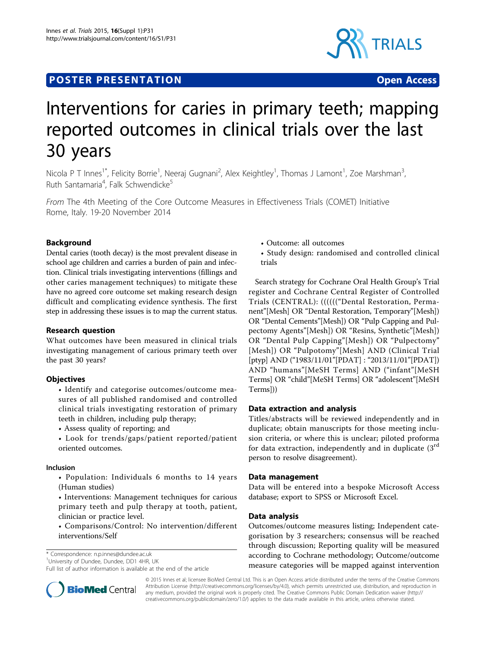## **POSTER PRESENTATION CONSUMING THE SERVICE SERVICE SERVICES**



# Interventions for caries in primary teeth; mapping reported outcomes in clinical trials over the last 30 years

Nicola P T Innes<sup>1\*</sup>, Felicity Borrie<sup>1</sup>, Neeraj Gugnani<sup>2</sup>, Alex Keightley<sup>1</sup>, Thomas J Lamont<sup>1</sup>, Zoe Marshman<sup>3</sup> , Ruth Santamaria<sup>4</sup>, Falk Schwendicke<sup>5</sup>

From The 4th Meeting of the Core Outcome Measures in Effectiveness Trials (COMET) Initiative Rome, Italy. 19-20 November 2014

### Background

Dental caries (tooth decay) is the most prevalent disease in school age children and carries a burden of pain and infection. Clinical trials investigating interventions (fillings and other caries management techniques) to mitigate these have no agreed core outcome set making research design difficult and complicating evidence synthesis. The first step in addressing these issues is to map the current status.

#### Research question

What outcomes have been measured in clinical trials investigating management of carious primary teeth over the past 30 years?

#### **Objectives**

• Identify and categorise outcomes/outcome measures of all published randomised and controlled clinical trials investigating restoration of primary teeth in children, including pulp therapy;

• Assess quality of reporting; and

• Look for trends/gaps/patient reported/patient oriented outcomes.

#### Inclusion

• Population: Individuals 6 months to 14 years (Human studies)

• Interventions: Management techniques for carious primary teeth and pulp therapy at tooth, patient, clinician or practice level.

• Comparisons/Control: No intervention/different interventions/Self

\* Correspondence: [n.p.innes@dundee.ac.uk](mailto:n.p.innes@dundee.ac.uk)

<sup>1</sup>University of Dundee, Dundee, DD1 4HR, UK

Full list of author information is available at the end of the article

• Outcome: all outcomes

• Study design: randomised and controlled clinical trials

Search strategy for Cochrane Oral Health Group's Trial register and Cochrane Central Register of Controlled Trials (CENTRAL): (((((("Dental Restoration, Permanent"[Mesh] OR "Dental Restoration, Temporary"[Mesh]) OR "Dental Cements"[Mesh]) OR "Pulp Capping and Pulpectomy Agents"[Mesh]) OR "Resins, Synthetic"[Mesh]) OR "Dental Pulp Capping"[Mesh]) OR "Pulpectomy" [Mesh]) OR "Pulpotomy"[Mesh] AND (Clinical Trial [ptyp] AND ("1983/11/01"[PDAT] : "2013/11/01"[PDAT]) AND "humans"[MeSH Terms] AND ("infant"[MeSH Terms] OR "child"[MeSH Terms] OR "adolescent"[MeSH Terms]))

#### Data extraction and analysis

Titles/abstracts will be reviewed independently and in duplicate; obtain manuscripts for those meeting inclusion criteria, or where this is unclear; piloted proforma for data extraction, independently and in duplicate  $(3<sup>rd</sup>$ person to resolve disagreement).

#### Data management

Data will be entered into a bespoke Microsoft Access database; export to SPSS or Microsoft Excel.

#### Data analysis

Outcomes/outcome measures listing; Independent categorisation by 3 researchers; consensus will be reached through discussion; Reporting quality will be measured according to Cochrane methodology; Outcome/outcome measure categories will be mapped against intervention



© 2015 Innes et al; licensee BioMed Central Ltd. This is an Open Access article distributed under the terms of the Creative Commons Attribution License [\(http://creativecommons.org/licenses/by/4.0](http://creativecommons.org/licenses/by/4.0)), which permits unrestricted use, distribution, and reproduction in any medium, provided the original work is properly cited. The Creative Commons Public Domain Dedication waiver [\(http://](http://creativecommons.org/publicdomain/zero/1.0/) [creativecommons.org/publicdomain/zero/1.0/](http://creativecommons.org/publicdomain/zero/1.0/)) applies to the data made available in this article, unless otherwise stated.